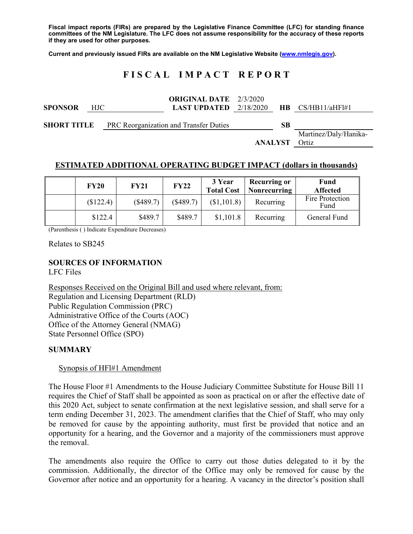**Fiscal impact reports (FIRs) are prepared by the Legislative Finance Committee (LFC) for standing finance committees of the NM Legislature. The LFC does not assume responsibility for the accuracy of these reports if they are used for other purposes.** 

**Current and previously issued FIRs are available on the NM Legislative Website (www.nmlegis.gov).** 

# **F I S C A L I M P A C T R E P O R T**

| <b>SPONSOR</b> | HJC | <b>ORIGINAL DATE</b> 2/3/2020<br><b>LAST UPDATED</b> $2/18/2020$ |         |    | $HB \quad CS/HB11/aHF1H1$      |
|----------------|-----|------------------------------------------------------------------|---------|----|--------------------------------|
|                |     | <b>SHORT TITLE</b> PRC Reorganization and Transfer Duties        |         | SB |                                |
|                |     |                                                                  | ANALYST |    | Martinez/Daly/Hanika-<br>Ortiz |

#### **ESTIMATED ADDITIONAL OPERATING BUDGET IMPACT (dollars in thousands)**

| <b>FY20</b> | <b>FY21</b> | <b>FY22</b> | 3 Year<br><b>Total Cost</b> | <b>Recurring or</b><br><b>Nonrecurring</b> | Fund<br><b>Affected</b> |
|-------------|-------------|-------------|-----------------------------|--------------------------------------------|-------------------------|
| (\$122.4)   | (\$489.7)   | (\$489.7)   | (\$1,101.8)                 | Recurring                                  | Fire Protection<br>Fund |
| \$122.4     | \$489.7     | \$489.7     | \$1,101.8                   | Recurring                                  | General Fund            |

(Parenthesis ( ) Indicate Expenditure Decreases)

Relates to SB245

## **SOURCES OF INFORMATION**

LFC Files

Responses Received on the Original Bill and used where relevant, from: Regulation and Licensing Department (RLD) Public Regulation Commission (PRC) Administrative Office of the Courts (AOC) Office of the Attorney General (NMAG) State Personnel Office (SPO)

### **SUMMARY**

#### Synopsis of HFl#1 Amendment

The House Floor #1 Amendments to the House Judiciary Committee Substitute for House Bill 11 requires the Chief of Staff shall be appointed as soon as practical on or after the effective date of this 2020 Act, subject to senate confirmation at the next legislative session, and shall serve for a term ending December 31, 2023. The amendment clarifies that the Chief of Staff, who may only be removed for cause by the appointing authority, must first be provided that notice and an opportunity for a hearing, and the Governor and a majority of the commissioners must approve the removal.

The amendments also require the Office to carry out those duties delegated to it by the commission. Additionally, the director of the Office may only be removed for cause by the Governor after notice and an opportunity for a hearing. A vacancy in the director's position shall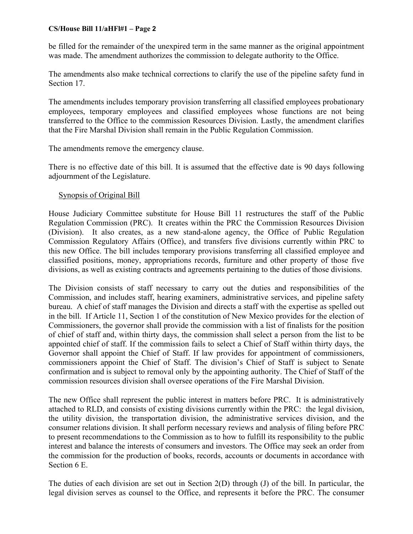#### **CS/House Bill 11/aHFl#1 – Page 2**

be filled for the remainder of the unexpired term in the same manner as the original appointment was made. The amendment authorizes the commission to delegate authority to the Office.

The amendments also make technical corrections to clarify the use of the pipeline safety fund in Section 17.

The amendments includes temporary provision transferring all classified employees probationary employees, temporary employees and classified employees whose functions are not being transferred to the Office to the commission Resources Division. Lastly, the amendment clarifies that the Fire Marshal Division shall remain in the Public Regulation Commission.

The amendments remove the emergency clause.

There is no effective date of this bill. It is assumed that the effective date is 90 days following adjournment of the Legislature.

### Synopsis of Original Bill

House Judiciary Committee substitute for House Bill 11 restructures the staff of the Public Regulation Commission (PRC). It creates within the PRC the Commission Resources Division (Division). It also creates, as a new stand-alone agency, the Office of Public Regulation Commission Regulatory Affairs (Office), and transfers five divisions currently within PRC to this new Office. The bill includes temporary provisions transferring all classified employee and classified positions, money, appropriations records, furniture and other property of those five divisions, as well as existing contracts and agreements pertaining to the duties of those divisions.

The Division consists of staff necessary to carry out the duties and responsibilities of the Commission, and includes staff, hearing examiners, administrative services, and pipeline safety bureau. A chief of staff manages the Division and directs a staff with the expertise as spelled out in the bill. If Article 11, Section 1 of the constitution of New Mexico provides for the election of Commissioners, the governor shall provide the commission with a list of finalists for the position of chief of staff and, within thirty days, the commission shall select a person from the list to be appointed chief of staff. If the commission fails to select a Chief of Staff within thirty days, the Governor shall appoint the Chief of Staff. If law provides for appointment of commissioners, commissioners appoint the Chief of Staff. The division's Chief of Staff is subject to Senate confirmation and is subject to removal only by the appointing authority. The Chief of Staff of the commission resources division shall oversee operations of the Fire Marshal Division.

The new Office shall represent the public interest in matters before PRC. It is administratively attached to RLD, and consists of existing divisions currently within the PRC: the legal division, the utility division, the transportation division, the administrative services division, and the consumer relations division. It shall perform necessary reviews and analysis of filing before PRC to present recommendations to the Commission as to how to fulfill its responsibility to the public interest and balance the interests of consumers and investors. The Office may seek an order from the commission for the production of books, records, accounts or documents in accordance with Section 6 E.

The duties of each division are set out in Section 2(D) through (J) of the bill. In particular, the legal division serves as counsel to the Office, and represents it before the PRC. The consumer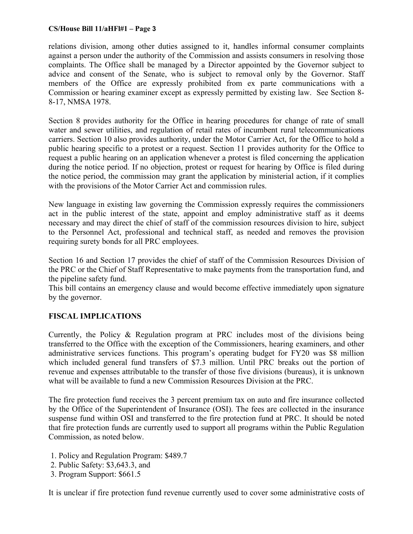#### **CS/House Bill 11/aHFl#1 – Page 3**

relations division, among other duties assigned to it, handles informal consumer complaints against a person under the authority of the Commission and assists consumers in resolving those complaints. The Office shall be managed by a Director appointed by the Governor subject to advice and consent of the Senate, who is subject to removal only by the Governor. Staff members of the Office are expressly prohibited from ex parte communications with a Commission or hearing examiner except as expressly permitted by existing law. See Section 8- 8-17, NMSA 1978.

Section 8 provides authority for the Office in hearing procedures for change of rate of small water and sewer utilities, and regulation of retail rates of incumbent rural telecommunications carriers. Section 10 also provides authority, under the Motor Carrier Act, for the Office to hold a public hearing specific to a protest or a request. Section 11 provides authority for the Office to request a public hearing on an application whenever a protest is filed concerning the application during the notice period. If no objection, protest or request for hearing by Office is filed during the notice period, the commission may grant the application by ministerial action, if it complies with the provisions of the Motor Carrier Act and commission rules.

New language in existing law governing the Commission expressly requires the commissioners act in the public interest of the state, appoint and employ administrative staff as it deems necessary and may direct the chief of staff of the commission resources division to hire, subject to the Personnel Act, professional and technical staff, as needed and removes the provision requiring surety bonds for all PRC employees.

Section 16 and Section 17 provides the chief of staff of the Commission Resources Division of the PRC or the Chief of Staff Representative to make payments from the transportation fund, and the pipeline safety fund.

This bill contains an emergency clause and would become effective immediately upon signature by the governor.

## **FISCAL IMPLICATIONS**

Currently, the Policy & Regulation program at PRC includes most of the divisions being transferred to the Office with the exception of the Commissioners, hearing examiners, and other administrative services functions. This program's operating budget for FY20 was \$8 million which included general fund transfers of \$7.3 million. Until PRC breaks out the portion of revenue and expenses attributable to the transfer of those five divisions (bureaus), it is unknown what will be available to fund a new Commission Resources Division at the PRC.

The fire protection fund receives the 3 percent premium tax on auto and fire insurance collected by the Office of the Superintendent of Insurance (OSI). The fees are collected in the insurance suspense fund within OSI and transferred to the fire protection fund at PRC. It should be noted that fire protection funds are currently used to support all programs within the Public Regulation Commission, as noted below.

- 1. Policy and Regulation Program: \$489.7
- 2. Public Safety: \$3,643.3, and
- 3. Program Support: \$661.5

It is unclear if fire protection fund revenue currently used to cover some administrative costs of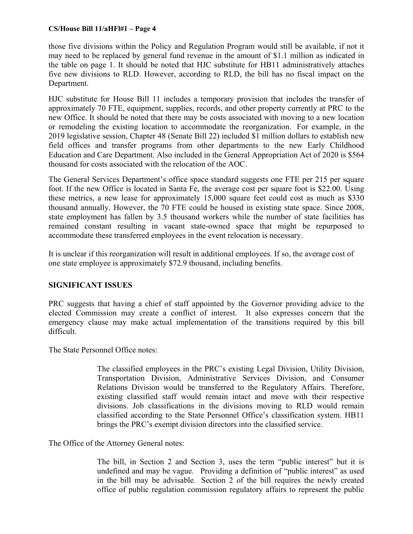#### **CS/House Bill 11/aHFl#1 – Page 4**

those five divisions within the Policy and Regulation Program would still be available, if not it may need to be replaced by general fund revenue in the amount of \$1.1 million as indicated in the table on page 1. It should be noted that HJC substitute for HB11 administratively attaches five new divisions to RLD. However, according to RLD, the bill has no fiscal impact on the Department.

HJC substitute for House Bill 11 includes a temporary provision that includes the transfer of approximately 70 FTE, equipment, supplies, records, and other property currently at PRC to the new Office. It should be noted that there may be costs associated with moving to a new location or remodeling the existing location to accommodate the reorganization. For example, in the 2019 legislative session, Chapter 48 (Senate Bill 22) included \$1 million dollars to establish new field offices and transfer programs from other departments to the new Early Childhood Education and Care Department. Also included in the General Appropriation Act of 2020 is \$564 thousand for costs associated with the relocation of the AOC.

The General Services Department's office space standard suggests one FTE per 215 per square foot. If the new Office is located in Santa Fe, the average cost per square foot is \$22.00. Using these metrics, a new lease for approximately 15,000 square feet could cost as much as \$330 thousand annually. However, the 70 FTE could be housed in existing state space. Since 2008, state employment has fallen by 3.5 thousand workers while the number of state facilities has remained constant resulting in vacant state-owned space that might be repurposed to accommodate these transferred employees in the event relocation is necessary.

It is unclear if this reorganization will result in additional employees. If so, the average cost of one state employee is approximately \$72.9 thousand, including benefits.

## **SIGNIFICANT ISSUES**

PRC suggests that having a chief of staff appointed by the Governor providing advice to the elected Commission may create a conflict of interest. It also expresses concern that the emergency clause may make actual implementation of the transitions required by this bill difficult.

The State Personnel Office notes:

The classified employees in the PRC's existing Legal Division, Utility Division, Transportation Division, Administrative Services Division, and Consumer Relations Division would be transferred to the Regulatory Affairs. Therefore, existing classified staff would remain intact and move with their respective divisions. Job classifications in the divisions moving to RLD would remain classified according to the State Personnel Office's classification system. HB11 brings the PRC's exempt division directors into the classified service.

The Office of the Attorney General notes:

The bill, in Section 2 and Section 3, uses the term "public interest" but it is undefined and may be vague. Providing a definition of "public interest" as used in the bill may be advisable. Section 2 of the bill requires the newly created office of public regulation commission regulatory affairs to represent the public